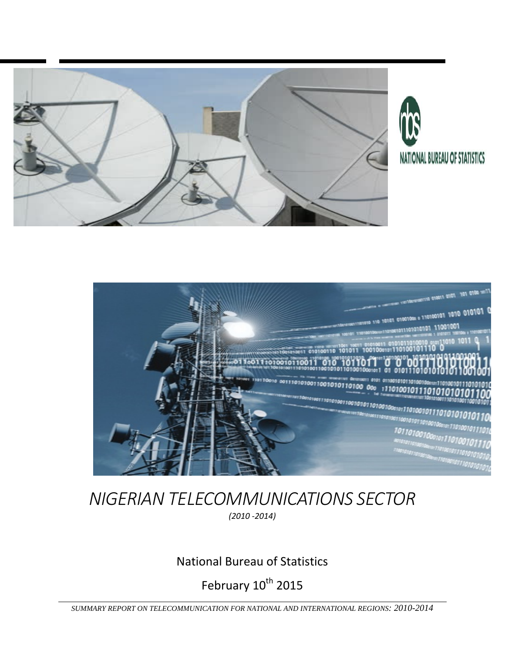





#### *NIGERIAN TELECOMMUNICATIONS SECTOR (2010 ‐2014)*

#### National Bureau of Statistics

February  $10^{th}$  2015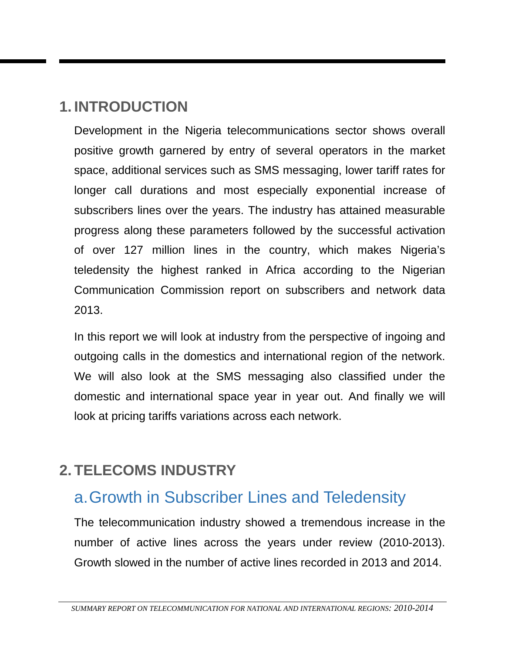#### **1. INTRODUCTION**

Development in the Nigeria telecommunications sector shows overall positive growth garnered by entry of several operators in the market space, additional services such as SMS messaging, lower tariff rates for longer call durations and most especially exponential increase of subscribers lines over the years. The industry has attained measurable progress along these parameters followed by the successful activation of over 127 million lines in the country, which makes Nigeria's teledensity the highest ranked in Africa according to the Nigerian Communication Commission report on subscribers and network data 2013.

In this report we will look at industry from the perspective of ingoing and outgoing calls in the domestics and international region of the network. We will also look at the SMS messaging also classified under the domestic and international space year in year out. And finally we will look at pricing tariffs variations across each network.

### **2. TELECOMS INDUSTRY**

### a. Growth in Subscriber Lines and Teledensity

The telecommunication industry showed a tremendous increase in the number of active lines across the years under review (2010-2013). Growth slowed in the number of active lines recorded in 2013 and 2014.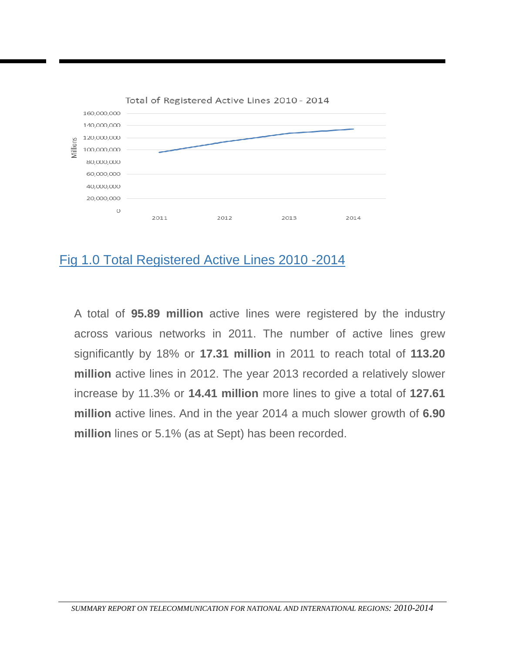

#### Fig 1.0 Total Registered Active Lines 2010 -2014

A total of **95.89 million** active lines were registered by the industry across various networks in 2011. The number of active lines grew significantly by 18% or **17.31 million** in 2011 to reach total of **113.20 million** active lines in 2012. The year 2013 recorded a relatively slower increase by 11.3% or **14.41 million** more lines to give a total of **127.61 million** active lines. And in the year 2014 a much slower growth of **6.90 million** lines or 5.1% (as at Sept) has been recorded.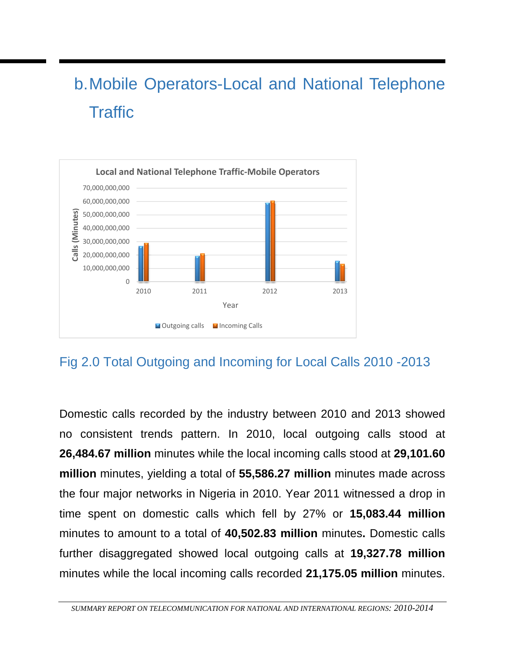# b. Mobile Operators-Local and National Telephone **Traffic**



#### Fig 2.0 Total Outgoing and Incoming for Local Calls 2010 -2013

Domestic calls recorded by the industry between 2010 and 2013 showed no consistent trends pattern. In 2010, local outgoing calls stood at **26,484.67 million** minutes while the local incoming calls stood at **29,101.60 million** minutes, yielding a total of **55,586.27 million** minutes made across the four major networks in Nigeria in 2010. Year 2011 witnessed a drop in time spent on domestic calls which fell by 27% or **15,083.44 million**  minutes to amount to a total of **40,502.83 million** minutes**.** Domestic calls further disaggregated showed local outgoing calls at **19,327.78 million**  minutes while the local incoming calls recorded **21,175.05 million** minutes.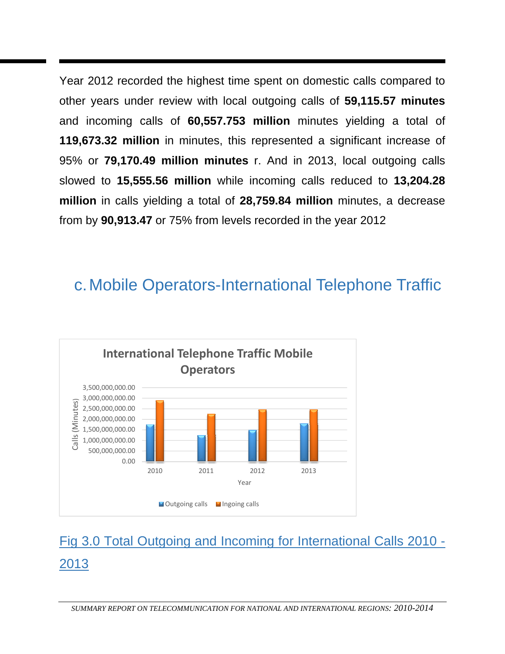Year 2012 recorded the highest time spent on domestic calls compared to other years under review with local outgoing calls of **59,115.57 minutes** and incoming calls of **60,557.753 million** minutes yielding a total of **119,673.32 million** in minutes, this represented a significant increase of 95% or **79,170.49 million minutes** r. And in 2013, local outgoing calls slowed to **15,555.56 million** while incoming calls reduced to **13,204.28 million** in calls yielding a total of **28,759.84 million** minutes, a decrease from by **90,913.47** or 75% from levels recorded in the year 2012

## c. Mobile Operators-International Telephone Traffic



# Fig 3.0 Total Outgoing and Incoming for International Calls 2010 - 2013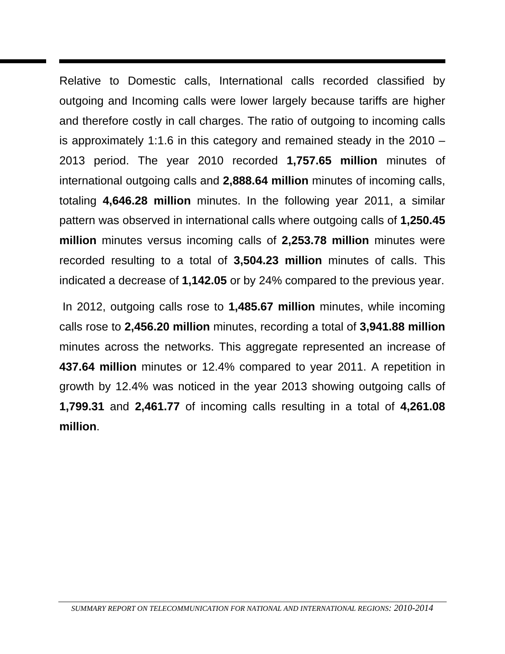Relative to Domestic calls, International calls recorded classified by outgoing and Incoming calls were lower largely because tariffs are higher and therefore costly in call charges. The ratio of outgoing to incoming calls is approximately 1:1.6 in this category and remained steady in the 2010 – 2013 period. The year 2010 recorded **1,757.65 million** minutes of international outgoing calls and **2,888.64 million** minutes of incoming calls, totaling **4,646.28 million** minutes. In the following year 2011, a similar pattern was observed in international calls where outgoing calls of **1,250.45 million** minutes versus incoming calls of **2,253.78 million** minutes were recorded resulting to a total of **3,504.23 million** minutes of calls. This indicated a decrease of **1,142.05** or by 24% compared to the previous year.

 In 2012, outgoing calls rose to **1,485.67 million** minutes, while incoming calls rose to **2,456.20 million** minutes, recording a total of **3,941.88 million** minutes across the networks. This aggregate represented an increase of **437.64 million** minutes or 12.4% compared to year 2011. A repetition in growth by 12.4% was noticed in the year 2013 showing outgoing calls of **1,799.31** and **2,461.77** of incoming calls resulting in a total of **4,261.08 million**.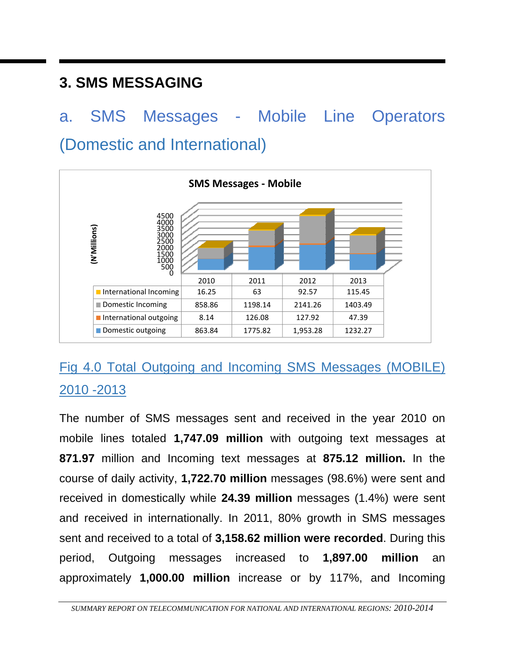#### **3. SMS MESSAGING**

# a. SMS Messages - Mobile Line Operators (Domestic and International)



### Fig 4.0 Total Outgoing and Incoming SMS Messages (MOBILE) 2010 -2013

The number of SMS messages sent and received in the year 2010 on mobile lines totaled **1,747.09 million** with outgoing text messages at **871.97** million and Incoming text messages at **875.12 million.** In the course of daily activity, **1,722.70 million** messages (98.6%) were sent and received in domestically while **24.39 million** messages (1.4%) were sent and received in internationally. In 2011, 80% growth in SMS messages sent and received to a total of **3,158.62 million were recorded**. During this period, Outgoing messages increased to **1,897.00 million** an approximately **1,000.00 million** increase or by 117%, and Incoming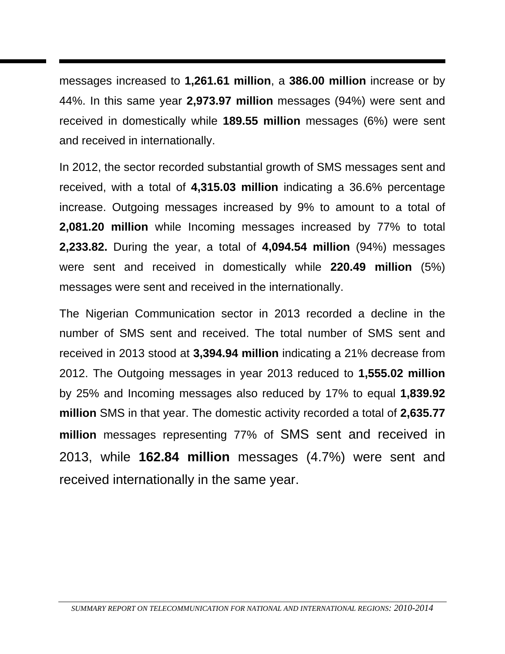messages increased to **1,261.61 million**, a **386.00 million** increase or by 44%. In this same year **2,973.97 million** messages (94%) were sent and received in domestically while **189.55 million** messages (6%) were sent and received in internationally.

In 2012, the sector recorded substantial growth of SMS messages sent and received, with a total of **4,315.03 million** indicating a 36.6% percentage increase. Outgoing messages increased by 9% to amount to a total of **2,081.20 million** while Incoming messages increased by 77% to total **2,233.82.** During the year, a total of **4,094.54 million** (94%) messages were sent and received in domestically while **220.49 million** (5%) messages were sent and received in the internationally.

The Nigerian Communication sector in 2013 recorded a decline in the number of SMS sent and received. The total number of SMS sent and received in 2013 stood at **3,394.94 million** indicating a 21% decrease from 2012. The Outgoing messages in year 2013 reduced to **1,555.02 million** by 25% and Incoming messages also reduced by 17% to equal **1,839.92 million** SMS in that year. The domestic activity recorded a total of **2,635.77 million** messages representing 77% of SMS sent and received in 2013, while **162.84 million** messages (4.7%) were sent and received internationally in the same year.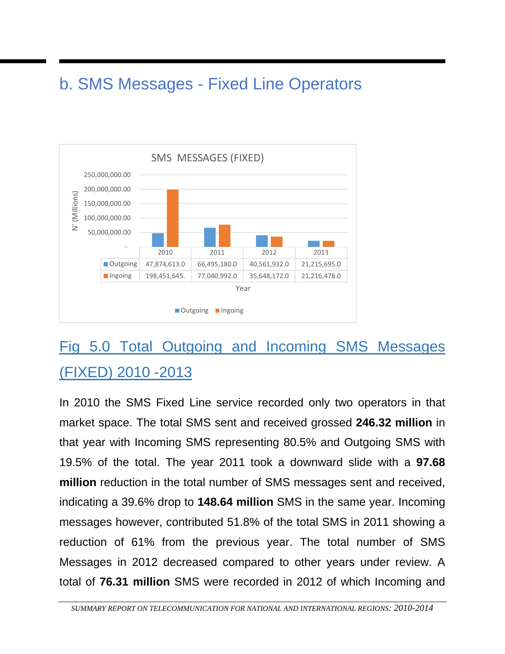## b. SMS Messages - Fixed Line Operators



# Fig 5.0 Total Outgoing and Incoming SMS Messages (FIXED) 2010 -2013

In 2010 the SMS Fixed Line service recorded only two operators in that market space. The total SMS sent and received grossed **246.32 million** in that year with Incoming SMS representing 80.5% and Outgoing SMS with 19.5% of the total. The year 2011 took a downward slide with a **97.68 million** reduction in the total number of SMS messages sent and received, indicating a 39.6% drop to **148.64 million** SMS in the same year. Incoming messages however, contributed 51.8% of the total SMS in 2011 showing a reduction of 61% from the previous year. The total number of SMS Messages in 2012 decreased compared to other years under review. A total of **76.31 million** SMS were recorded in 2012 of which Incoming and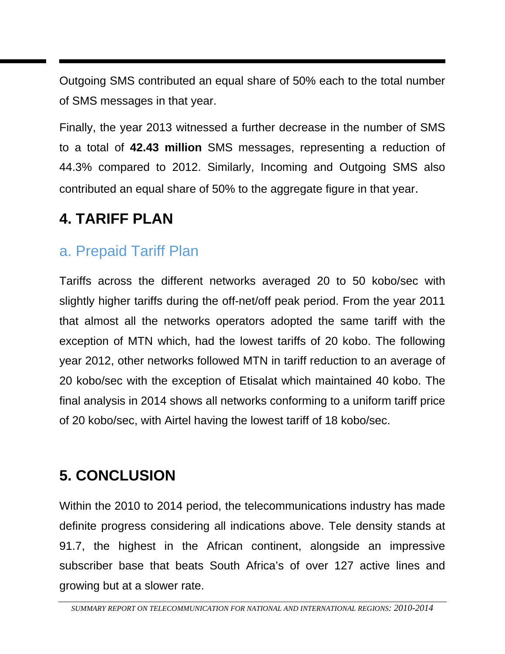Outgoing SMS contributed an equal share of 50% each to the total number of SMS messages in that year.

Finally, the year 2013 witnessed a further decrease in the number of SMS to a total of **42.43 million** SMS messages, representing a reduction of 44.3% compared to 2012. Similarly, Incoming and Outgoing SMS also contributed an equal share of 50% to the aggregate figure in that year.

#### **4. TARIFF PLAN**

#### a. Prepaid Tariff Plan

Tariffs across the different networks averaged 20 to 50 kobo/sec with slightly higher tariffs during the off-net/off peak period. From the year 2011 that almost all the networks operators adopted the same tariff with the exception of MTN which, had the lowest tariffs of 20 kobo. The following year 2012, other networks followed MTN in tariff reduction to an average of 20 kobo/sec with the exception of Etisalat which maintained 40 kobo. The final analysis in 2014 shows all networks conforming to a uniform tariff price of 20 kobo/sec, with Airtel having the lowest tariff of 18 kobo/sec.

#### **5. CONCLUSION**

Within the 2010 to 2014 period, the telecommunications industry has made definite progress considering all indications above. Tele density stands at 91.7, the highest in the African continent, alongside an impressive subscriber base that beats South Africa's of over 127 active lines and growing but at a slower rate.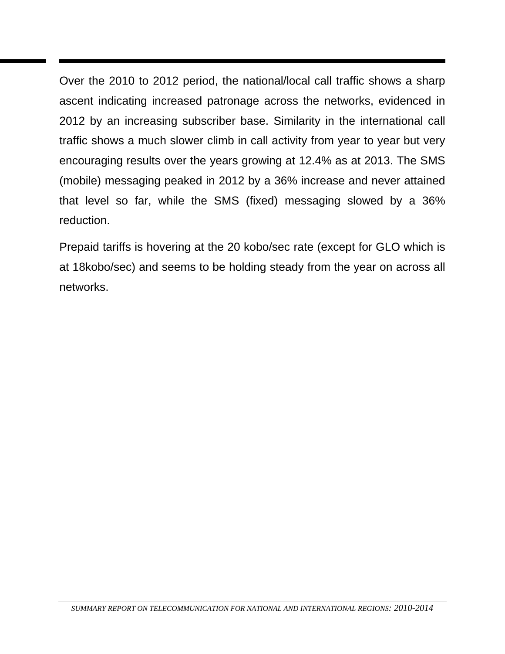Over the 2010 to 2012 period, the national/local call traffic shows a sharp ascent indicating increased patronage across the networks, evidenced in 2012 by an increasing subscriber base. Similarity in the international call traffic shows a much slower climb in call activity from year to year but very encouraging results over the years growing at 12.4% as at 2013. The SMS (mobile) messaging peaked in 2012 by a 36% increase and never attained that level so far, while the SMS (fixed) messaging slowed by a 36% reduction.

Prepaid tariffs is hovering at the 20 kobo/sec rate (except for GLO which is at 18kobo/sec) and seems to be holding steady from the year on across all networks.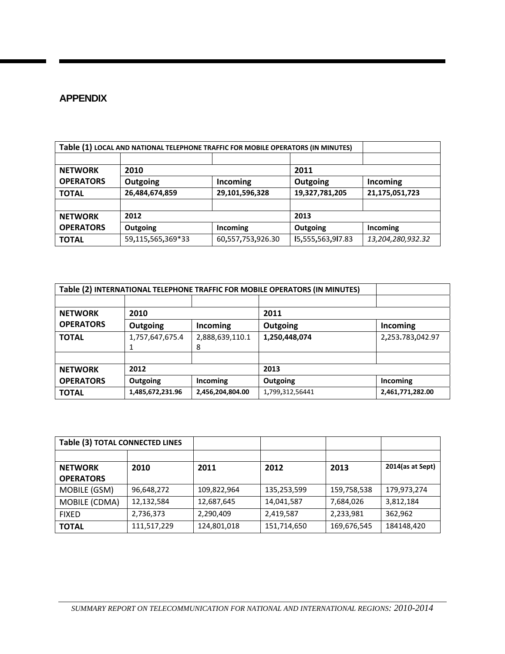#### **APPENDIX**

| Table (1) LOCAL AND NATIONAL TELEPHONE TRAFFIC FOR MOBILE OPERATORS (IN MINUTES) |                   |                   |                   |                   |
|----------------------------------------------------------------------------------|-------------------|-------------------|-------------------|-------------------|
|                                                                                  |                   |                   |                   |                   |
| <b>NETWORK</b>                                                                   | 2010              |                   | 2011              |                   |
| <b>OPERATORS</b>                                                                 | Outgoing          | Incoming          | Outgoing          | Incoming          |
| <b>TOTAL</b>                                                                     | 26,484,674,859    | 29,101,596,328    | 19,327,781,205    | 21,175,051,723    |
|                                                                                  |                   |                   |                   |                   |
| <b>NETWORK</b>                                                                   | 2012              | 2013              |                   |                   |
| <b>OPERATORS</b>                                                                 | Outgoing          | <b>Incoming</b>   | Outgoing          | Incoming          |
| <b>TOTAL</b>                                                                     | 59,115,565,369*33 | 60,557,753,926.30 | I5,555,563,9l7.83 | 13,204,280,932.32 |

|                        | Table (2) INTERNATIONAL TELEPHONE TRAFFIC FOR MOBILE OPERATORS (IN MINUTES) |                  |                 |                  |  |  |  |
|------------------------|-----------------------------------------------------------------------------|------------------|-----------------|------------------|--|--|--|
|                        |                                                                             |                  |                 |                  |  |  |  |
| <b>NETWORK</b><br>2010 |                                                                             | 2011             |                 |                  |  |  |  |
| <b>OPERATORS</b>       | Outgoing                                                                    | Incoming         | Outgoing        | Incoming         |  |  |  |
| <b>TOTAL</b>           | 1,757,647,675.4                                                             | 2,888,639,110.1  | 1,250,448,074   | 2,253.783,042.97 |  |  |  |
|                        |                                                                             | 8                |                 |                  |  |  |  |
|                        |                                                                             |                  |                 |                  |  |  |  |
| <b>NETWORK</b>         | 2012                                                                        |                  | 2013            |                  |  |  |  |
| <b>OPERATORS</b>       | Outgoing                                                                    | Incoming         | Outgoing        | Incoming         |  |  |  |
| <b>TOTAL</b>           | 1,485,672,231.96                                                            | 2,456,204,804.00 | 1,799,312,56441 | 2,461,771,282.00 |  |  |  |

| Table (3) TOTAL CONNECTED LINES |             |             |             |             |                  |
|---------------------------------|-------------|-------------|-------------|-------------|------------------|
|                                 |             |             |             |             |                  |
| <b>NETWORK</b>                  | 2010        | 2011        | 2012        | 2013        | 2014(as at Sept) |
| <b>OPERATORS</b>                |             |             |             |             |                  |
| MOBILE (GSM)                    | 96,648,272  | 109,822,964 | 135,253,599 | 159,758,538 | 179,973,274      |
| MOBILE (CDMA)                   | 12,132,584  | 12,687,645  | 14,041,587  | 7,684,026   | 3,812,184        |
| <b>FIXED</b>                    | 2,736,373   | 2,290,409   | 2,419,587   | 2,233,981   | 362,962          |
| <b>TOTAL</b>                    | 111,517,229 | 124,801,018 | 151,714,650 | 169,676,545 | 184148,420       |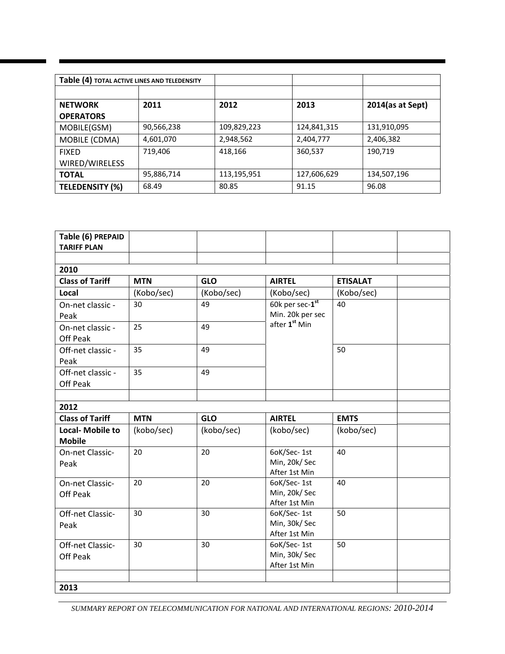| Table (4) TOTAL ACTIVE LINES AND TELEDENSITY |            |             |             |                     |
|----------------------------------------------|------------|-------------|-------------|---------------------|
|                                              |            |             |             |                     |
| <b>NETWORK</b>                               | 2011       | 2012        | 2013        | $2014$ (as at Sept) |
| <b>OPERATORS</b>                             |            |             |             |                     |
| MOBILE(GSM)                                  | 90,566,238 | 109,829,223 | 124,841,315 | 131,910,095         |
| MOBILE (CDMA)                                | 4,601,070  | 2,948,562   | 2,404,777   | 2,406,382           |
| <b>FIXED</b>                                 | 719,406    | 418,166     | 360,537     | 190,719             |
| WIRED/WIRELESS                               |            |             |             |                     |
| <b>TOTAL</b>                                 | 95,886,714 | 113,195,951 | 127,606,629 | 134,507,196         |
| <b>TELEDENSITY (%)</b>                       | 68.49      | 80.85       | 91.15       | 96.08               |

| Table (6) PREPAID<br><b>TARIFF PLAN</b>  |            |            |                                              |                 |  |
|------------------------------------------|------------|------------|----------------------------------------------|-----------------|--|
|                                          |            |            |                                              |                 |  |
| 2010                                     |            |            |                                              |                 |  |
| <b>Class of Tariff</b>                   | <b>MTN</b> | <b>GLO</b> | <b>AIRTEL</b>                                | <b>ETISALAT</b> |  |
| Local                                    | (Kobo/sec) | (Kobo/sec) | (Kobo/sec)                                   | (Kobo/sec)      |  |
| On-net classic -<br>Peak                 | 30         | 49         | 60k per sec-1st<br>Min. 20k per sec          | 40              |  |
| On-net classic -<br>Off Peak             | 25         | 49         | after 1 <sup>st</sup> Min                    |                 |  |
| Off-net classic -<br>Peak                | 35         | 49         |                                              | 50              |  |
| Off-net classic -<br>Off Peak            | 35         | 49         |                                              |                 |  |
|                                          |            |            |                                              |                 |  |
| 2012                                     |            |            |                                              |                 |  |
| <b>Class of Tariff</b>                   | <b>MTN</b> | <b>GLO</b> | <b>AIRTEL</b>                                | <b>EMTS</b>     |  |
| <b>Local- Mobile to</b><br><b>Mobile</b> | (kobo/sec) | (kobo/sec) | (kobo/sec)                                   | (kobo/sec)      |  |
| On-net Classic-<br>Peak                  | 20         | 20         | 6oK/Sec-1st<br>Min, 20k/Sec<br>After 1st Min | 40              |  |
| On-net Classic-<br>Off Peak              | 20         | 20         | 6oK/Sec-1st<br>Min, 20k/Sec<br>After 1st Min | 40              |  |
| Off-net Classic-<br>Peak                 | 30         | 30         | 6oK/Sec-1st<br>Min, 30k/Sec<br>After 1st Min | 50              |  |
| Off-net Classic-<br>Off Peak             | 30         | 30         | 6oK/Sec-1st<br>Min, 30k/Sec<br>After 1st Min | 50              |  |
| 2013                                     |            |            |                                              |                 |  |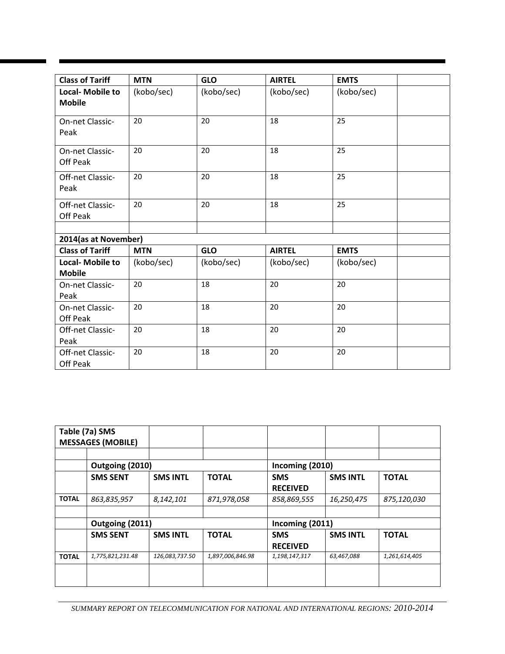| <b>Class of Tariff</b>                   | <b>MTN</b> | <b>GLO</b> | <b>AIRTEL</b> | <b>EMTS</b> |
|------------------------------------------|------------|------------|---------------|-------------|
| <b>Local- Mobile to</b><br><b>Mobile</b> | (kobo/sec) | (kobo/sec) | (kobo/sec)    | (kobo/sec)  |
| On-net Classic-<br>Peak                  | 20         | 20         | 18            | 25          |
| On-net Classic-<br>Off Peak              | 20         | 20         | 18            | 25          |
| Off-net Classic-<br>Peak                 | 20         | 20         | 18            | 25          |
| Off-net Classic-<br>Off Peak             | 20         | 20         | 18            | 25          |
|                                          |            |            |               |             |
| 2014(as at November)                     |            |            |               |             |
| <b>Class of Tariff</b>                   | <b>MTN</b> | <b>GLO</b> | <b>AIRTEL</b> | <b>EMTS</b> |
| <b>Local- Mobile to</b><br><b>Mobile</b> | (kobo/sec) | (kobo/sec) | (kobo/sec)    | (kobo/sec)  |
| On-net Classic-<br>Peak                  | 20         | 18         | 20            | 20          |
| On-net Classic-<br>Off Peak              | 20         | 18         | 20            | 20          |
| Off-net Classic-<br>Peak                 | 20         | 18         | 20            | 20          |
| Off-net Classic-<br>Off Peak             | 20         | 18         | 20            | 20          |

|              | Table (7a) SMS<br><b>MESSAGES (MOBILE)</b> |                 |                  |                 |                 |               |  |
|--------------|--------------------------------------------|-----------------|------------------|-----------------|-----------------|---------------|--|
|              |                                            |                 |                  |                 |                 |               |  |
|              | Outgoing (2010)                            |                 |                  | Incoming (2010) |                 |               |  |
|              | <b>SMS SENT</b>                            | <b>SMS INTL</b> | <b>TOTAL</b>     | <b>SMS</b>      | <b>SMS INTL</b> | <b>TOTAL</b>  |  |
|              |                                            |                 |                  | <b>RECEIVED</b> |                 |               |  |
| <b>TOTAL</b> | 863,835,957                                | 8,142,101       | 871,978,058      | 858,869,555     | 16,250,475      | 875,120,030   |  |
|              |                                            |                 |                  |                 |                 |               |  |
|              | Outgoing (2011)                            |                 |                  | Incoming (2011) |                 |               |  |
|              | <b>SMS SENT</b>                            | <b>SMS INTL</b> | <b>TOTAL</b>     | <b>SMS</b>      | <b>SMS INTL</b> | <b>TOTAL</b>  |  |
|              |                                            |                 |                  | <b>RECEIVED</b> |                 |               |  |
| <b>TOTAL</b> | 1,775,821,231.48                           | 126,083,737.50  | 1,897,006,846.98 | 1,198,147,317   | 63,467,088      | 1,261,614,405 |  |
|              |                                            |                 |                  |                 |                 |               |  |
|              |                                            |                 |                  |                 |                 |               |  |